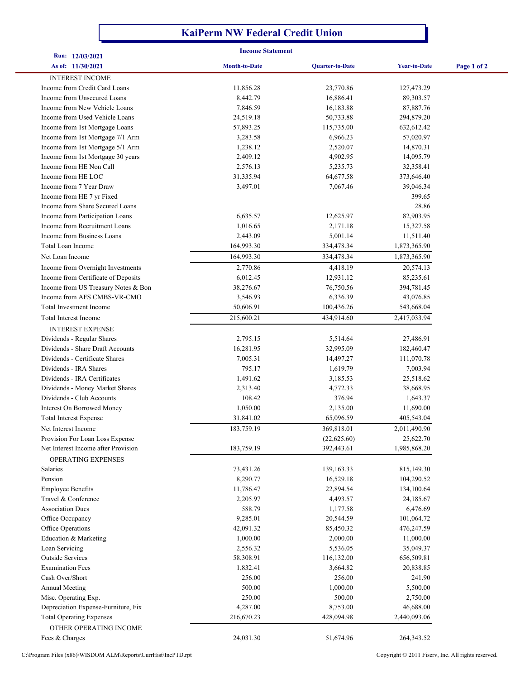## **KaiPerm NW Federal Credit Union**

|                                                           | <b>Income Statement</b> |                        |                     |             |
|-----------------------------------------------------------|-------------------------|------------------------|---------------------|-------------|
| Run: 12/03/2021<br>As of: 11/30/2021                      | <b>Month-to-Date</b>    | <b>Quarter-to-Date</b> | <b>Year-to-Date</b> | Page 1 of 2 |
| <b>INTEREST INCOME</b>                                    |                         |                        |                     |             |
| Income from Credit Card Loans                             | 11,856.28               | 23,770.86              | 127,473.29          |             |
| Income from Unsecured Loans                               | 8,442.79                | 16,886.41              | 89,303.57           |             |
| Income from New Vehicle Loans                             | 7,846.59                | 16,183.88              | 87,887.76           |             |
| Income from Used Vehicle Loans                            | 24,519.18               | 50,733.88              | 294,879.20          |             |
| Income from 1st Mortgage Loans                            | 57,893.25               | 115,735.00             | 632,612.42          |             |
| Income from 1st Mortgage 7/1 Arm                          | 3,283.58                | 6,966.23               | 57,020.97           |             |
| Income from 1st Mortgage 5/1 Arm                          | 1,238.12                | 2,520.07               | 14,870.31           |             |
| Income from 1st Mortgage 30 years                         | 2,409.12                | 4,902.95               | 14,095.79           |             |
| Income from HE Non Call                                   | 2,576.13                | 5,235.73               | 32,358.41           |             |
| Income from HE LOC                                        | 31,335.94               | 64,677.58              | 373,646.40          |             |
| Income from 7 Year Draw                                   | 3,497.01                | 7,067.46               | 39,046.34           |             |
| Income from HE 7 yr Fixed                                 |                         |                        | 399.65              |             |
| Income from Share Secured Loans                           |                         |                        | 28.86               |             |
| Income from Participation Loans                           | 6,635.57                | 12,625.97              | 82,903.95           |             |
| Income from Recruitment Loans                             | 1,016.65                | 2,171.18               | 15,327.58           |             |
| Income from Business Loans                                | 2,443.09                | 5,001.14               | 11,511.40           |             |
| Total Loan Income                                         | 164,993.30              | 334,478.34             | 1,873,365.90        |             |
| Net Loan Income                                           | 164,993.30              | 334,478.34             | 1,873,365.90        |             |
| Income from Overnight Investments                         | 2,770.86                | 4,418.19               | 20,574.13           |             |
| Income from Certificate of Deposits                       | 6,012.45                | 12,931.12              | 85,235.61           |             |
| Income from US Treasury Notes & Bon                       | 38,276.67               | 76,750.56              | 394,781.45          |             |
| Income from AFS CMBS-VR-CMO                               | 3,546.93                | 6,336.39               | 43,076.85           |             |
| <b>Total Investment Income</b>                            | 50,606.91               | 100,436.26             | 543,668.04          |             |
| Total Interest Income                                     | 215,600.21              | 434,914.60             | 2,417,033.94        |             |
| <b>INTEREST EXPENSE</b>                                   |                         |                        |                     |             |
| Dividends - Regular Shares                                | 2,795.15                | 5,514.64               | 27,486.91           |             |
| Dividends - Share Draft Accounts                          | 16,281.95               | 32,995.09              | 182,460.47          |             |
| Dividends - Certificate Shares                            | 7,005.31                | 14,497.27              | 111,070.78          |             |
| Dividends - IRA Shares                                    | 795.17                  | 1,619.79               | 7,003.94            |             |
| Dividends - IRA Certificates                              | 1,491.62                | 3,185.53               | 25,518.62           |             |
| Dividends - Money Market Shares                           | 2,313.40                | 4,772.33               | 38,668.95           |             |
| Dividends - Club Accounts                                 | 108.42                  | 376.94                 | 1,643.37            |             |
| Interest On Borrowed Money                                | 1,050.00                | 2,135.00               | 11,690.00           |             |
| <b>Total Interest Expense</b>                             | 31,841.02               | 65,096.59              | 405,543.04          |             |
| Net Interest Income                                       | 183,759.19              | 369,818.01             | 2,011,490.90        |             |
| Provision For Loan Loss Expense                           |                         | (22,625.60)            | 25,622.70           |             |
| Net Interest Income after Provision<br>OPERATING EXPENSES | 183,759.19              | 392,443.61             | 1,985,868.20        |             |
| Salaries                                                  | 73,431.26               | 139,163.33             | 815,149.30          |             |
| Pension                                                   | 8,290.77                | 16,529.18              | 104,290.52          |             |
| <b>Employee Benefits</b>                                  | 11,786.47               | 22,894.54              | 134,100.64          |             |
| Travel & Conference                                       | 2,205.97                | 4,493.57               | 24,185.67           |             |
| <b>Association Dues</b>                                   | 588.79                  | 1,177.58               | 6,476.69            |             |
| Office Occupancy                                          | 9,285.01                | 20,544.59              | 101,064.72          |             |
| Office Operations                                         | 42,091.32               | 85,450.32              | 476,247.59          |             |
| Education & Marketing                                     | 1,000.00                | 2,000.00               | 11,000.00           |             |
| Loan Servicing                                            | 2,556.32                | 5,536.05               | 35,049.37           |             |
| <b>Outside Services</b>                                   | 58,308.91               | 116,132.00             | 656,509.81          |             |
| <b>Examination Fees</b>                                   | 1,832.41                | 3,664.82               | 20,838.85           |             |
| Cash Over/Short                                           | 256.00                  | 256.00                 | 241.90              |             |
| <b>Annual Meeting</b>                                     | 500.00                  | 1,000.00               | 5,500.00            |             |
| Misc. Operating Exp.                                      | 250.00                  | 500.00                 | 2,750.00            |             |
| Depreciation Expense-Furniture, Fix                       | 4,287.00                | 8,753.00               | 46,688.00           |             |
| <b>Total Operating Expenses</b>                           | 216,670.23              | 428,094.98             | 2,440,093.06        |             |
| OTHER OPERATING INCOME                                    |                         |                        |                     |             |
| Fees & Charges                                            | 24,031.30               | 51,674.96              | 264, 343. 52        |             |